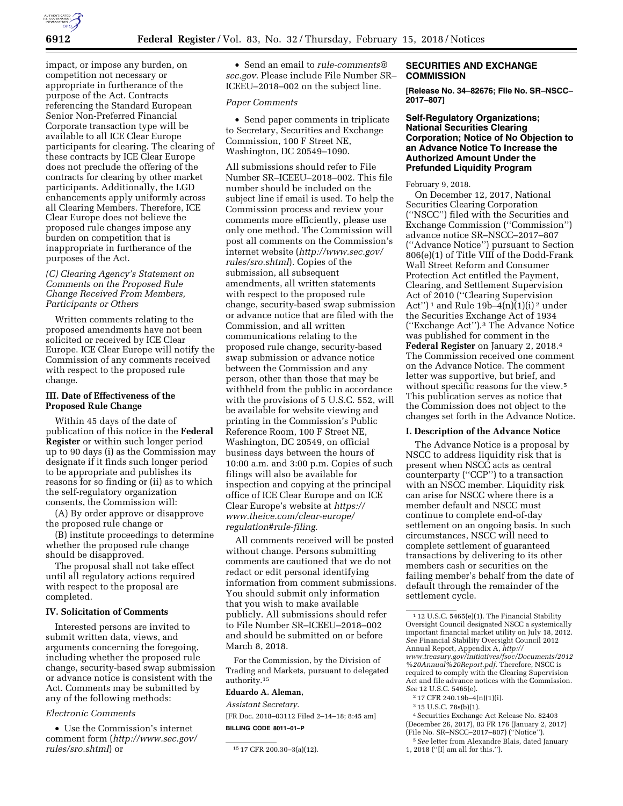

impact, or impose any burden, on competition not necessary or appropriate in furtherance of the purpose of the Act. Contracts referencing the Standard European Senior Non-Preferred Financial Corporate transaction type will be available to all ICE Clear Europe participants for clearing. The clearing of these contracts by ICE Clear Europe does not preclude the offering of the contracts for clearing by other market participants. Additionally, the LGD enhancements apply uniformly across all Clearing Members. Therefore, ICE Clear Europe does not believe the proposed rule changes impose any burden on competition that is inappropriate in furtherance of the purposes of the Act.

# *(C) Clearing Agency's Statement on Comments on the Proposed Rule Change Received From Members, Participants or Others*

Written comments relating to the proposed amendments have not been solicited or received by ICE Clear Europe. ICE Clear Europe will notify the Commission of any comments received with respect to the proposed rule change.

### **III. Date of Effectiveness of the Proposed Rule Change**

Within 45 days of the date of publication of this notice in the **Federal Register** or within such longer period up to 90 days (i) as the Commission may designate if it finds such longer period to be appropriate and publishes its reasons for so finding or (ii) as to which the self-regulatory organization consents, the Commission will:

(A) By order approve or disapprove the proposed rule change or

(B) institute proceedings to determine whether the proposed rule change should be disapproved.

The proposal shall not take effect until all regulatory actions required with respect to the proposal are completed.

#### **IV. Solicitation of Comments**

Interested persons are invited to submit written data, views, and arguments concerning the foregoing, including whether the proposed rule change, security-based swap submission or advance notice is consistent with the Act. Comments may be submitted by any of the following methods:

#### *Electronic Comments*

• Use the Commission's internet comment form (*[http://www.sec.gov/](http://www.sec.gov/rules/sro.shtml)  [rules/sro.shtml](http://www.sec.gov/rules/sro.shtml)*) or

• Send an email to *[rule-comments@](mailto:rule-comments@sec.gov) [sec.gov.](mailto:rule-comments@sec.gov)* Please include File Number SR– ICEEU–2018–002 on the subject line.

## *Paper Comments*

• Send paper comments in triplicate to Secretary, Securities and Exchange Commission, 100 F Street NE, Washington, DC 20549–1090.

All submissions should refer to File Number SR–ICEEU–2018–002. This file number should be included on the subject line if email is used. To help the Commission process and review your comments more efficiently, please use only one method. The Commission will post all comments on the Commission's internet website (*[http://www.sec.gov/](http://www.sec.gov/rules/sro.shtml)  [rules/sro.shtml](http://www.sec.gov/rules/sro.shtml)*). Copies of the submission, all subsequent amendments, all written statements with respect to the proposed rule change, security-based swap submission or advance notice that are filed with the Commission, and all written communications relating to the proposed rule change, security-based swap submission or advance notice between the Commission and any person, other than those that may be withheld from the public in accordance with the provisions of 5 U.S.C. 552, will be available for website viewing and printing in the Commission's Public Reference Room, 100 F Street NE, Washington, DC 20549, on official business days between the hours of 10:00 a.m. and 3:00 p.m. Copies of such filings will also be available for inspection and copying at the principal office of ICE Clear Europe and on ICE Clear Europe's website at *[https://](https://www.theice.com/clear-europe/regulation#rule-filing) [www.theice.com/clear-europe/](https://www.theice.com/clear-europe/regulation#rule-filing)  [regulation#rule-filing.](https://www.theice.com/clear-europe/regulation#rule-filing)* 

All comments received will be posted without change. Persons submitting comments are cautioned that we do not redact or edit personal identifying information from comment submissions. You should submit only information that you wish to make available publicly. All submissions should refer to File Number SR–ICEEU–2018–002 and should be submitted on or before March 8, 2018.

For the Commission, by the Division of Trading and Markets, pursuant to delegated authority.15

# **Eduardo A. Aleman,**

*Assistant Secretary.*  [FR Doc. 2018–03112 Filed 2–14–18; 8:45 am]

**BILLING CODE 8011–01–P** 

### **SECURITIES AND EXCHANGE COMMISSION**

**[Release No. 34–82676; File No. SR–NSCC– 2017–807]** 

### **Self-Regulatory Organizations; National Securities Clearing Corporation; Notice of No Objection to an Advance Notice To Increase the Authorized Amount Under the Prefunded Liquidity Program**

February 9, 2018.

On December 12, 2017, National Securities Clearing Corporation (''NSCC'') filed with the Securities and Exchange Commission (''Commission'') advance notice SR–NSCC–2017–807 (''Advance Notice'') pursuant to Section 806(e)(1) of Title VIII of the Dodd-Frank Wall Street Reform and Consumer Protection Act entitled the Payment, Clearing, and Settlement Supervision Act of 2010 (''Clearing Supervision Act'')<sup>1</sup> and Rule 19b–4(n)(1)(i)<sup>2</sup> under the Securities Exchange Act of 1934 (''Exchange Act'').3 The Advance Notice was published for comment in the **Federal Register** on January 2, 2018.4 The Commission received one comment on the Advance Notice. The comment letter was supportive, but brief, and without specific reasons for the view.5 This publication serves as notice that the Commission does not object to the changes set forth in the Advance Notice.

## **I. Description of the Advance Notice**

The Advance Notice is a proposal by NSCC to address liquidity risk that is present when NSCC acts as central counterparty (''CCP'') to a transaction with an NSCC member. Liquidity risk can arise for NSCC where there is a member default and NSCC must continue to complete end-of-day settlement on an ongoing basis. In such circumstances, NSCC will need to complete settlement of guaranteed transactions by delivering to its other members cash or securities on the failing member's behalf from the date of default through the remainder of the settlement cycle.

<sup>15</sup> 17 CFR 200.30–3(a)(12).

 $112$  U.S.C. 5465(e)(1). The Financial Stability Oversight Council designated NSCC a systemically important financial market utility on July 18, 2012. *See* Financial Stability Oversight Council 2012 Annual Report, Appendix A, *[http://](http://www.treasury.gov/initiatives/fsoc/Documents/2012%20Annual%20Report.pdf) [www.treasury.gov/initiatives/fsoc/Documents/2012](http://www.treasury.gov/initiatives/fsoc/Documents/2012%20Annual%20Report.pdf) [%20Annual%20Report.pdf.](http://www.treasury.gov/initiatives/fsoc/Documents/2012%20Annual%20Report.pdf)* Therefore, NSCC is required to comply with the Clearing Supervision Act and file advance notices with the Commission. *See* 12 U.S.C. 5465(e).

<sup>2</sup> 17 CFR 240.19b–4(n)(1)(i).

<sup>3</sup> 15 U.S.C. 78s(b)(1).

<sup>4</sup>Securities Exchange Act Release No. 82403 (December 26, 2017), 83 FR 176 (January 2, 2017) (File No. SR–NSCC–2017–807) (''Notice'').

<sup>5</sup>*See* letter from Alexandre Blais, dated January 1, 2018 (''[I] am all for this.'').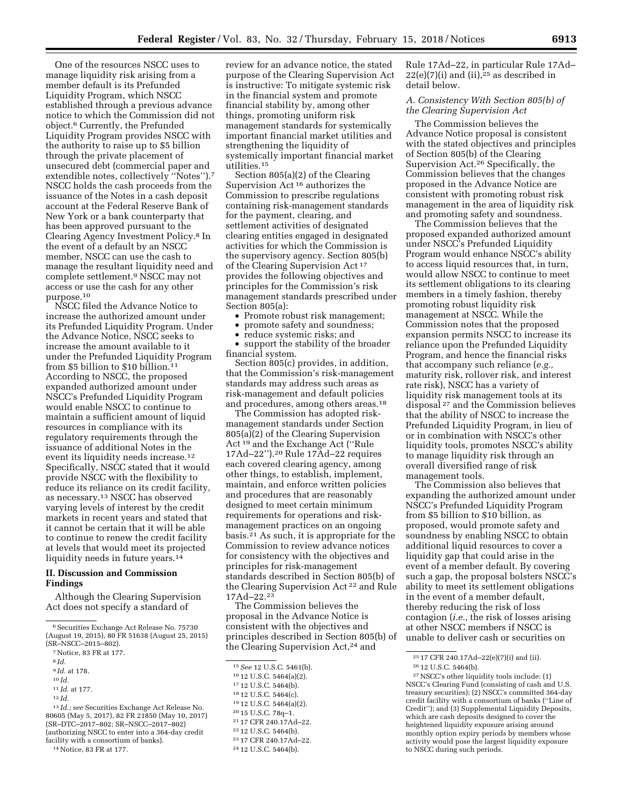One of the resources NSCC uses to manage liquidity risk arising from a member default is its Prefunded Liquidity Program, which NSCC established through a previous advance notice to which the Commission did not object.6 Currently, the Prefunded Liquidity Program provides NSCC with the authority to raise up to \$5 billion through the private placement of unsecured debt (commercial paper and extendible notes, collectively "Notes").<sup>7</sup> NSCC holds the cash proceeds from the issuance of the Notes in a cash deposit account at the Federal Reserve Bank of New York or a bank counterparty that has been approved pursuant to the Clearing Agency Investment Policy.8 In the event of a default by an NSCC member, NSCC can use the cash to manage the resultant liquidity need and complete settlement.9 NSCC may not access or use the cash for any other purpose.10

NSCC filed the Advance Notice to increase the authorized amount under its Prefunded Liquidity Program. Under the Advance Notice, NSCC seeks to increase the amount available to it under the Prefunded Liquidity Program from \$5 billion to \$10 billion.11 According to NSCC, the proposed expanded authorized amount under NSCC's Prefunded Liquidity Program would enable NSCC to continue to maintain a sufficient amount of liquid resources in compliance with its regulatory requirements through the issuance of additional Notes in the event its liquidity needs increase.12 Specifically, NSCC stated that it would provide NSCC with the flexibility to reduce its reliance on its credit facility, as necessary.13 NSCC has observed varying levels of interest by the credit markets in recent years and stated that it cannot be certain that it will be able to continue to renew the credit facility at levels that would meet its projected liquidity needs in future years.<sup>14</sup>

#### **II. Discussion and Commission Findings**

Although the Clearing Supervision Act does not specify a standard of

- 9 *Id.* at 178.
- 10 *Id.*
- 11 *Id.* at 177.

13 *Id.; see* Securities Exchange Act Release No. 80605 (May 5, 2017), 82 FR 21850 (May 10, 2017) (SR–DTC–2017–802; SR–NSCC–2017–802) (authorizing NSCC to enter into a 364-day credit facility with a consortium of banks).

14Notice, 83 FR at 177.

review for an advance notice, the stated purpose of the Clearing Supervision Act is instructive: To mitigate systemic risk in the financial system and promote financial stability by, among other things, promoting uniform risk management standards for systemically important financial market utilities and strengthening the liquidity of systemically important financial market utilities.15

Section 805(a)(2) of the Clearing Supervision Act 16 authorizes the Commission to prescribe regulations containing risk-management standards for the payment, clearing, and settlement activities of designated clearing entities engaged in designated activities for which the Commission is the supervisory agency. Section 805(b) of the Clearing Supervision Act 17 provides the following objectives and principles for the Commission's risk management standards prescribed under Section 805(a):

- Promote robust risk management;
- promote safety and soundness;
- reduce systemic risks; and

• support the stability of the broader financial system.

Section 805(c) provides, in addition, that the Commission's risk-management standards may address such areas as risk-management and default policies and procedures, among others areas.18

The Commission has adopted riskmanagement standards under Section 805(a)(2) of the Clearing Supervision Act 19 and the Exchange Act (''Rule 17Ad–22'').20 Rule 17Ad–22 requires each covered clearing agency, among other things, to establish, implement, maintain, and enforce written policies and procedures that are reasonably designed to meet certain minimum requirements for operations and riskmanagement practices on an ongoing basis.21 As such, it is appropriate for the Commission to review advance notices for consistency with the objectives and principles for risk-management standards described in Section 805(b) of the Clearing Supervision Act 22 and Rule 17Ad–22.23

The Commission believes the proposal in the Advance Notice is consistent with the objectives and principles described in Section 805(b) of the Clearing Supervision Act,<sup>24</sup> and

- 20 15 U.S.C. 78q–1.
- 21 17 CFR 240.17Ad–22.
- 22 12 U.S.C. 5464(b).
- 23 17 CFR 240.17Ad–22.

Rule 17Ad–22, in particular Rule 17Ad–  $22(e)(7)(i)$  and  $(ii).$ <sup>25</sup> as described in detail below.

# *A. Consistency With Section 805(b) of the Clearing Supervision Act*

The Commission believes the Advance Notice proposal is consistent with the stated objectives and principles of Section 805(b) of the Clearing Supervision Act.26 Specifically, the Commission believes that the changes proposed in the Advance Notice are consistent with promoting robust risk management in the area of liquidity risk and promoting safety and soundness.

The Commission believes that the proposed expanded authorized amount under NSCC's Prefunded Liquidity Program would enhance NSCC's ability to access liquid resources that, in turn, would allow NSCC to continue to meet its settlement obligations to its clearing members in a timely fashion, thereby promoting robust liquidity risk management at NSCC. While the Commission notes that the proposed expansion permits NSCC to increase its reliance upon the Prefunded Liquidity Program, and hence the financial risks that accompany such reliance (*e.g.,*  maturity risk, rollover risk, and interest rate risk), NSCC has a variety of liquidity risk management tools at its disposal 27 and the Commission believes that the ability of NSCC to increase the Prefunded Liquidity Program, in lieu of or in combination with NSCC's other liquidity tools, promotes NSCC's ability to manage liquidity risk through an overall diversified range of risk management tools.

The Commission also believes that expanding the authorized amount under NSCC's Prefunded Liquidity Program from \$5 billion to \$10 billion, as proposed, would promote safety and soundness by enabling NSCC to obtain additional liquid resources to cover a liquidity gap that could arise in the event of a member default. By covering such a gap, the proposal bolsters NSCC's ability to meet its settlement obligations in the event of a member default, thereby reducing the risk of loss contagion (*i.e.,* the risk of losses arising at other NSCC members if NSCC is unable to deliver cash or securities on

<sup>6</sup>Securities Exchange Act Release No. 75730 (August 19, 2015), 80 FR 51638 (August 25, 2015) (SR–NSCC–2015–802).

<sup>7</sup>Notice, 83 FR at 177.

<sup>8</sup> *Id.* 

<sup>12</sup> *Id.* 

<sup>15</sup>*See* 12 U.S.C. 5461(b).

<sup>16</sup> 12 U.S.C. 5464(a)(2).

<sup>17</sup> 12 U.S.C. 5464(b).

<sup>18</sup> 12 U.S.C. 5464(c).

<sup>19</sup> 12 U.S.C. 5464(a)(2).

<sup>24</sup> 12 U.S.C. 5464(b).

<sup>25</sup> 17 CFR 240.17Ad–22(e)(7)(i) and (ii).

<sup>26</sup> 12 U.S.C. 5464(b).

<sup>27</sup>NSCC's other liquidity tools include: (1) NSCC's Clearing Fund (consisting of cash and U.S. treasury securities); (2) NSCC's committed 364-day credit facility with a consortium of banks (''Line of Credit''); and (3) Supplemental Liquidity Deposits, which are cash deposits designed to cover the heightened liquidity exposure arising around monthly option expiry periods by members whose activity would pose the largest liquidity exposure to NSCC during such periods.